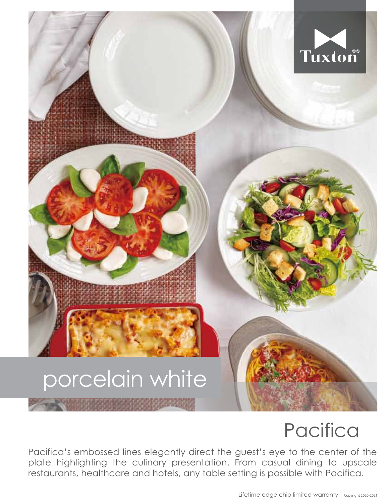## Tuxton porcelain white

## **Pacifica**

Pacifica's embossed lines elegantly direct the guest's eye to the center of the plate highlighting the culinary presentation. From casual dining to upscale restaurants, healthcare and hotels, any table setting is possible with Pacifica.